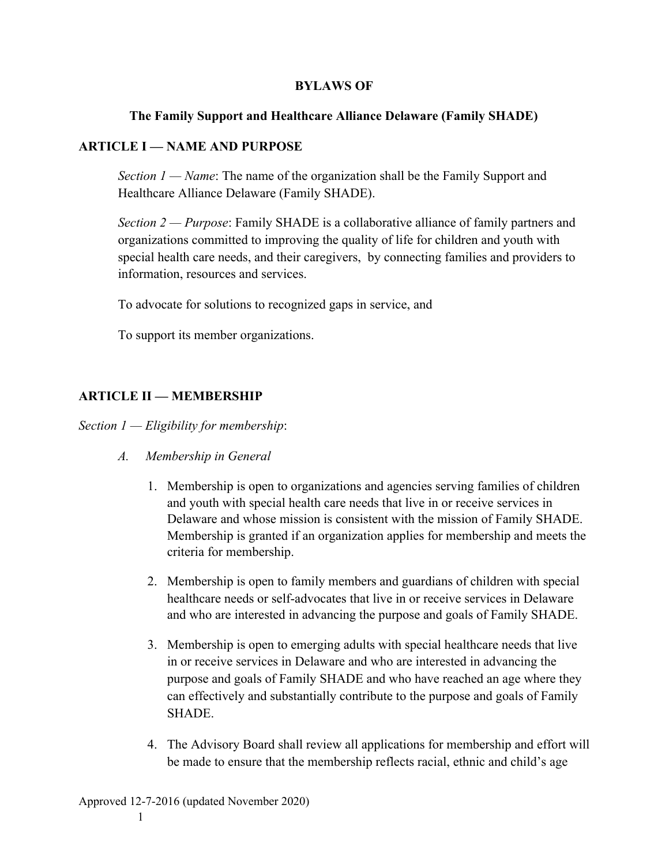#### **BYLAWS OF**

#### **The Family Support and Healthcare Alliance Delaware (Family SHADE)**

#### **ARTICLE I — NAME AND PURPOSE**

*Section 1 — Name*: The name of the organization shall be the Family Support and Healthcare Alliance Delaware (Family SHADE).

*Section 2 — Purpose*: Family SHADE is a collaborative alliance of family partners and organizations committed to improving the quality of life for children and youth with special health care needs, and their caregivers, by connecting families and providers to information, resources and services.

To advocate for solutions to recognized gaps in service, and

To support its member organizations.

### **ARTICLE II — MEMBERSHIP**

*Section 1 — Eligibility for membership*:

- *A. Membership in General*
	- 1. Membership is open to organizations and agencies serving families of children and youth with special health care needs that live in or receive services in Delaware and whose mission is consistent with the mission of Family SHADE. Membership is granted if an organization applies for membership and meets the criteria for membership.
	- 2. Membership is open to family members and guardians of children with special healthcare needs or self-advocates that live in or receive services in Delaware and who are interested in advancing the purpose and goals of Family SHADE.
	- 3. Membership is open to emerging adults with special healthcare needs that live in or receive services in Delaware and who are interested in advancing the purpose and goals of Family SHADE and who have reached an age where they can effectively and substantially contribute to the purpose and goals of Family **SHADE**
	- 4. The Advisory Board shall review all applications for membership and effort will be made to ensure that the membership reflects racial, ethnic and child's age

1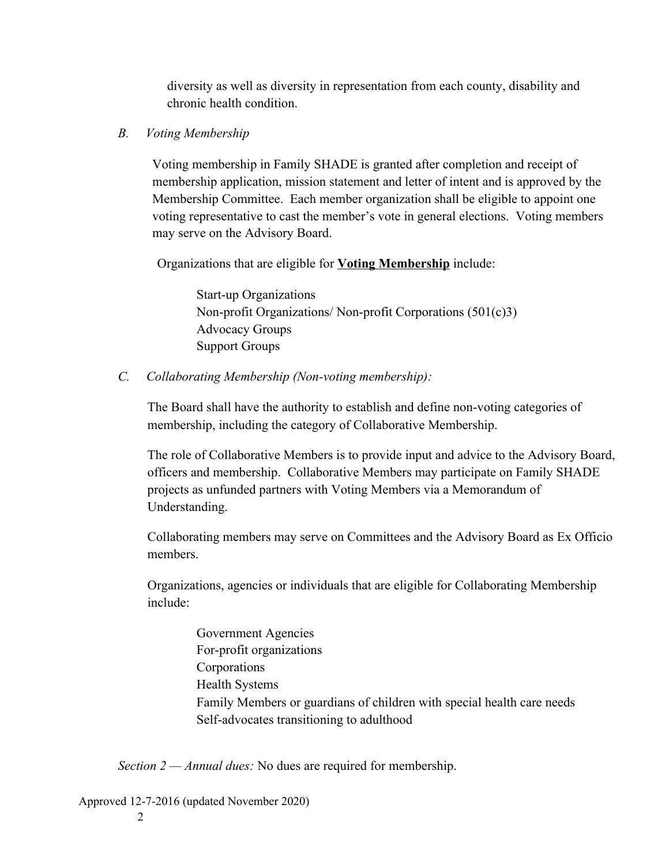diversity as well as diversity in representation from each county, disability and chronic health condition.

### *B. Voting Membership*

Voting membership in Family SHADE is granted after completion and receipt of membership application, mission statement and letter of intent and is approved by the Membership Committee. Each member organization shall be eligible to appoint one voting representative to cast the member's vote in general elections. Voting members may serve on the Advisory Board.

Organizations that are eligible for **Voting Membership** include:

Start-up Organizations Non-profit Organizations/ Non-profit Corporations (501(c)3) Advocacy Groups Support Groups

*C. Collaborating Membership (Non-voting membership):*

The Board shall have the authority to establish and define non-voting categories of membership, including the category of Collaborative Membership.

The role of Collaborative Members is to provide input and advice to the Advisory Board, officers and membership. Collaborative Members may participate on Family SHADE projects as unfunded partners with Voting Members via a Memorandum of Understanding.

Collaborating members may serve on Committees and the Advisory Board as Ex Officio members.

Organizations, agencies or individuals that are eligible for Collaborating Membership include:

> Government Agencies For-profit organizations Corporations Health Systems Family Members or guardians of children with special health care needs Self-advocates transitioning to adulthood

*Section 2 — Annual dues:* No dues are required for membership.

Approved 12-7-2016 (updated November 2020)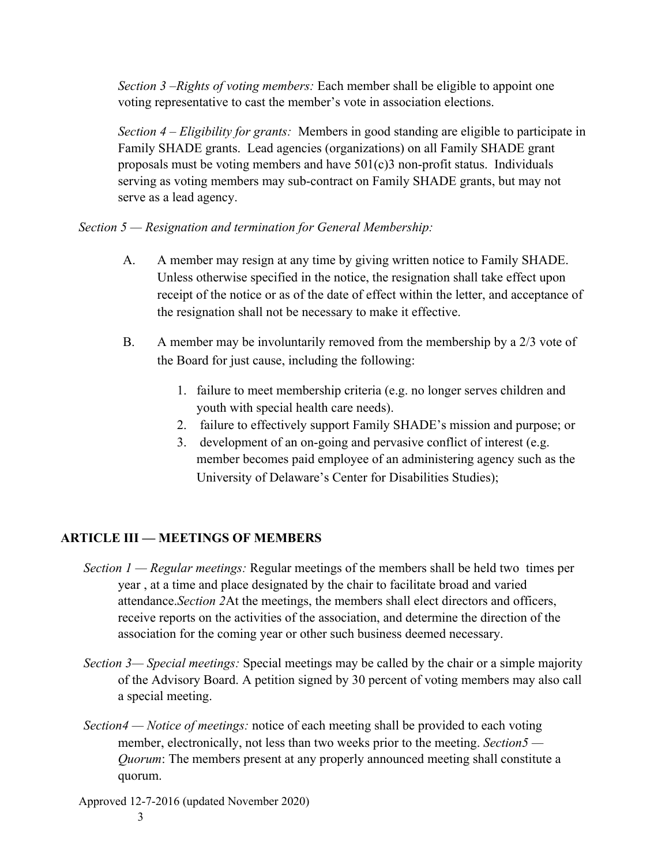*Section 3 –Rights of voting members:* Each member shall be eligible to appoint one voting representative to cast the member's vote in association elections.

*Section 4 – Eligibility for grants:* Members in good standing are eligible to participate in Family SHADE grants. Lead agencies (organizations) on all Family SHADE grant proposals must be voting members and have  $501(c)3$  non-profit status. Individuals serving as voting members may sub-contract on Family SHADE grants, but may not serve as a lead agency.

### *Section 5 — Resignation and termination for General Membership:*

- A. A member may resign at any time by giving written notice to Family SHADE. Unless otherwise specified in the notice, the resignation shall take effect upon receipt of the notice or as of the date of effect within the letter, and acceptance of the resignation shall not be necessary to make it effective.
- B. A member may be involuntarily removed from the membership by a 2/3 vote of the Board for just cause, including the following:
	- 1. failure to meet membership criteria (e.g. no longer serves children and youth with special health care needs).
	- 2. failure to effectively support Family SHADE's mission and purpose; or
	- 3. development of an on-going and pervasive conflict of interest (e.g. member becomes paid employee of an administering agency such as the University of Delaware's Center for Disabilities Studies);

# **ARTICLE III — MEETINGS OF MEMBERS**

- *Section 1 Regular meetings:* Regular meetings of the members shall be held two times per year , at a time and place designated by the chair to facilitate broad and varied attendance.*Section 2*At the meetings, the members shall elect directors and officers, receive reports on the activities of the association, and determine the direction of the association for the coming year or other such business deemed necessary.
- *Section 3— Special meetings:* Special meetings may be called by the chair or a simple majority of the Advisory Board. A petition signed by 30 percent of voting members may also call a special meeting.
- *Section4 Notice of meetings:* notice of each meeting shall be provided to each voting member, electronically, not less than two weeks prior to the meeting. *Section5 — Quorum*: The members present at any properly announced meeting shall constitute a quorum.

Approved 12-7-2016 (updated November 2020)

3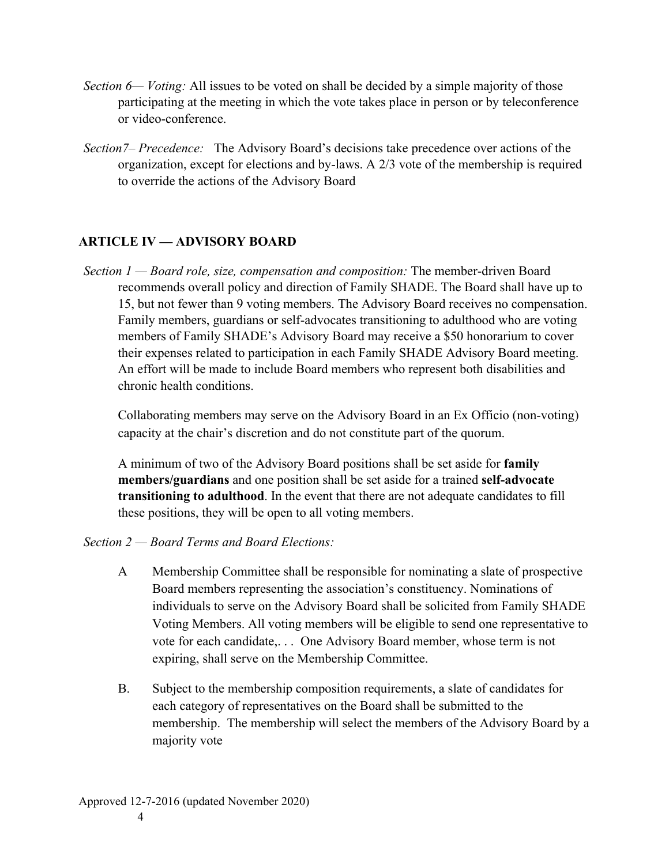- *Section 6— Voting:* All issues to be voted on shall be decided by a simple majority of those participating at the meeting in which the vote takes place in person or by teleconference or video-conference.
- *Section7– Precedence:* The Advisory Board's decisions take precedence over actions of the organization, except for elections and by-laws. A 2/3 vote of the membership is required to override the actions of the Advisory Board

# **ARTICLE IV — ADVISORY BOARD**

*Section 1 — Board role, size, compensation and composition:* The member-driven Board recommends overall policy and direction of Family SHADE. The Board shall have up to 15, but not fewer than 9 voting members. The Advisory Board receives no compensation. Family members, guardians or self-advocates transitioning to adulthood who are voting members of Family SHADE's Advisory Board may receive a \$50 honorarium to cover their expenses related to participation in each Family SHADE Advisory Board meeting. An effort will be made to include Board members who represent both disabilities and chronic health conditions.

Collaborating members may serve on the Advisory Board in an Ex Officio (non-voting) capacity at the chair's discretion and do not constitute part of the quorum.

A minimum of two of the Advisory Board positions shall be set aside for **family members/guardians** and one position shall be set aside for a trained **self-advocate transitioning to adulthood**. In the event that there are not adequate candidates to fill these positions, they will be open to all voting members.

### *Section 2 — Board Terms and Board Elections:*

- A Membership Committee shall be responsible for nominating a slate of prospective Board members representing the association's constituency. Nominations of individuals to serve on the Advisory Board shall be solicited from Family SHADE Voting Members. All voting members will be eligible to send one representative to vote for each candidate,. . . One Advisory Board member, whose term is not expiring, shall serve on the Membership Committee.
- B. Subject to the membership composition requirements, a slate of candidates for each category of representatives on the Board shall be submitted to the membership. The membership will select the members of the Advisory Board by a majority vote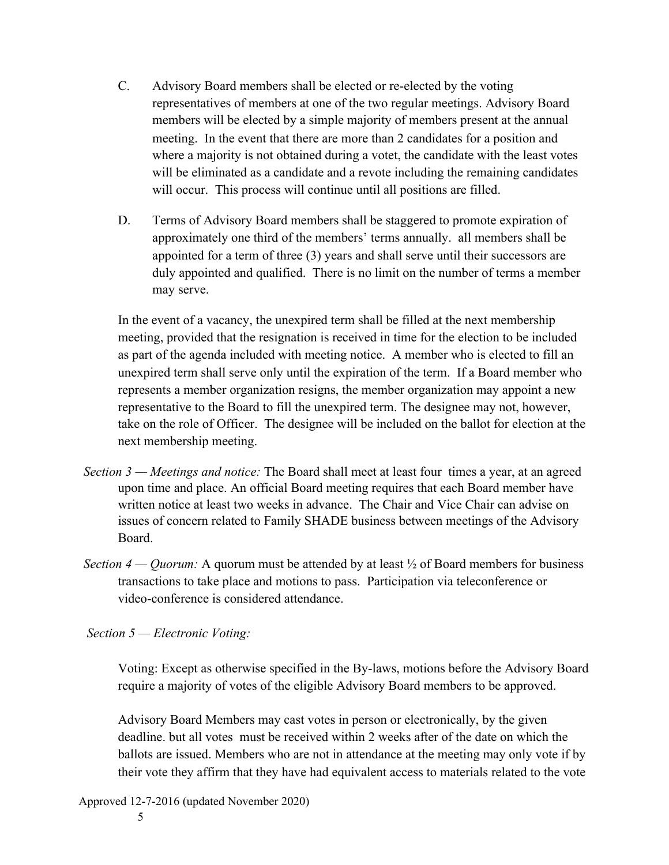- C. Advisory Board members shall be elected or re-elected by the voting representatives of members at one of the two regular meetings. Advisory Board members will be elected by a simple majority of members present at the annual meeting. In the event that there are more than 2 candidates for a position and where a majority is not obtained during a votet, the candidate with the least votes will be eliminated as a candidate and a revote including the remaining candidates will occur. This process will continue until all positions are filled.
- D. Terms of Advisory Board members shall be staggered to promote expiration of approximately one third of the members' terms annually. all members shall be appointed for a term of three (3) years and shall serve until their successors are duly appointed and qualified. There is no limit on the number of terms a member may serve.

In the event of a vacancy, the unexpired term shall be filled at the next membership meeting, provided that the resignation is received in time for the election to be included as part of the agenda included with meeting notice. A member who is elected to fill an unexpired term shall serve only until the expiration of the term. If a Board member who represents a member organization resigns, the member organization may appoint a new representative to the Board to fill the unexpired term. The designee may not, however, take on the role of Officer. The designee will be included on the ballot for election at the next membership meeting.

- *Section 3 Meetings and notice:* The Board shall meet at least four times a year, at an agreed upon time and place. An official Board meeting requires that each Board member have written notice at least two weeks in advance. The Chair and Vice Chair can advise on issues of concern related to Family SHADE business between meetings of the Advisory Board.
- *Section 4 Quorum:* A quorum must be attended by at least  $\frac{1}{2}$  of Board members for business transactions to take place and motions to pass. Participation via teleconference or video-conference is considered attendance.

 *Section 5 — Electronic Voting:*

Voting: Except as otherwise specified in the By-laws, motions before the Advisory Board require a majority of votes of the eligible Advisory Board members to be approved.

Advisory Board Members may cast votes in person or electronically, by the given deadline. but all votes must be received within 2 weeks after of the date on which the ballots are issued. Members who are not in attendance at the meeting may only vote if by their vote they affirm that they have had equivalent access to materials related to the vote

Approved 12-7-2016 (updated November 2020)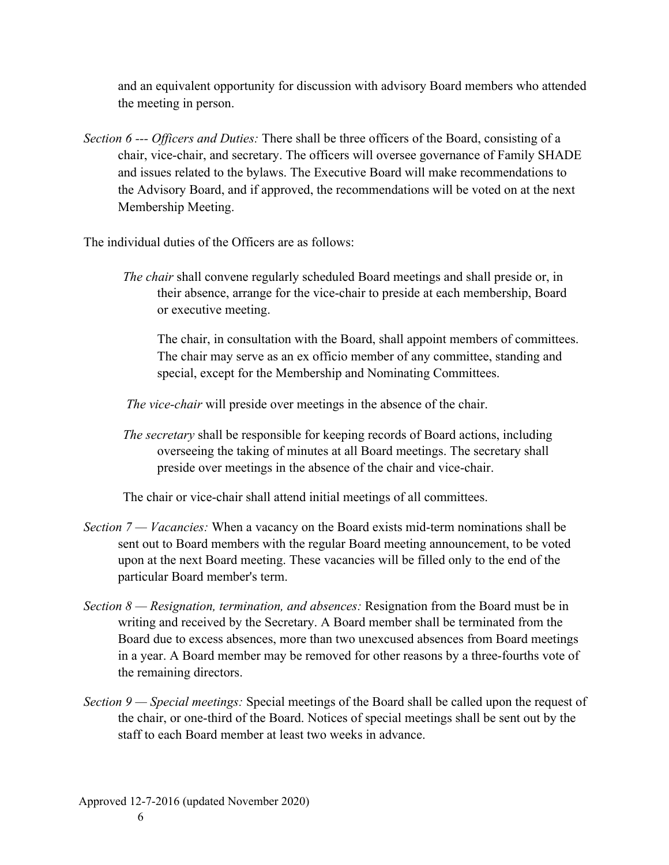and an equivalent opportunity for discussion with advisory Board members who attended the meeting in person.

*Section 6 --- Officers and Duties:* There shall be three officers of the Board, consisting of a chair, vice-chair, and secretary. The officers will oversee governance of Family SHADE and issues related to the bylaws. The Executive Board will make recommendations to the Advisory Board, and if approved, the recommendations will be voted on at the next Membership Meeting.

The individual duties of the Officers are as follows:

*The chair* shall convene regularly scheduled Board meetings and shall preside or, in their absence, arrange for the vice-chair to preside at each membership, Board or executive meeting.

The chair, in consultation with the Board, shall appoint members of committees. The chair may serve as an ex officio member of any committee, standing and special, except for the Membership and Nominating Committees.

*The vice-chair* will preside over meetings in the absence of the chair.

*The secretary* shall be responsible for keeping records of Board actions, including overseeing the taking of minutes at all Board meetings. The secretary shall preside over meetings in the absence of the chair and vice-chair.

The chair or vice-chair shall attend initial meetings of all committees.

- *Section 7 Vacancies:* When a vacancy on the Board exists mid-term nominations shall be sent out to Board members with the regular Board meeting announcement, to be voted upon at the next Board meeting. These vacancies will be filled only to the end of the particular Board member's term.
- *Section 8 Resignation, termination, and absences:* Resignation from the Board must be in writing and received by the Secretary. A Board member shall be terminated from the Board due to excess absences, more than two unexcused absences from Board meetings in a year. A Board member may be removed for other reasons by a three-fourths vote of the remaining directors.
- *Section 9 Special meetings:* Special meetings of the Board shall be called upon the request of the chair, or one-third of the Board. Notices of special meetings shall be sent out by the staff to each Board member at least two weeks in advance.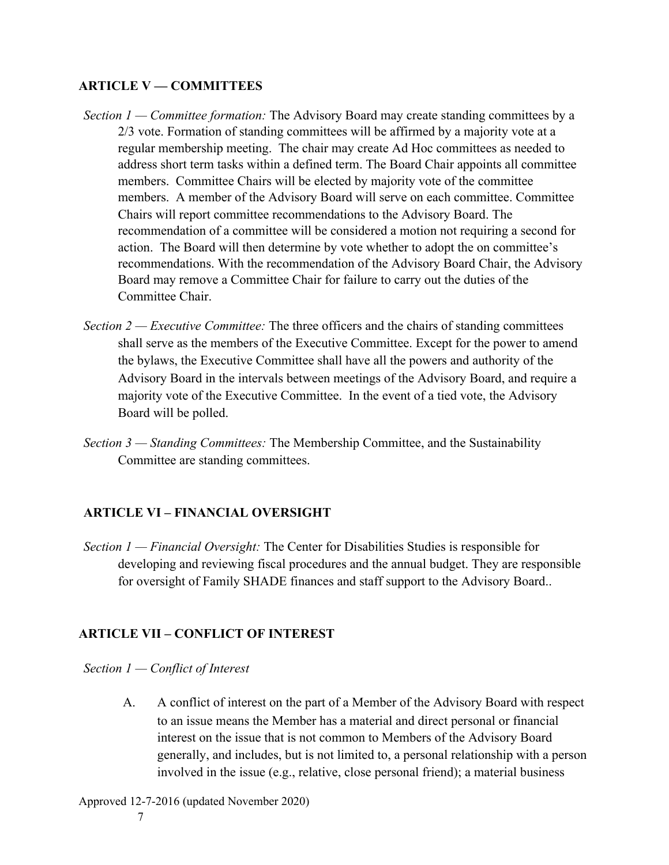### **ARTICLE V — COMMITTEES**

- *Section 1 Committee formation:* The Advisory Board may create standing committees by a 2/3 vote. Formation of standing committees will be affirmed by a majority vote at a regular membership meeting. The chair may create Ad Hoc committees as needed to address short term tasks within a defined term. The Board Chair appoints all committee members. Committee Chairs will be elected by majority vote of the committee members. A member of the Advisory Board will serve on each committee. Committee Chairs will report committee recommendations to the Advisory Board. The recommendation of a committee will be considered a motion not requiring a second for action. The Board will then determine by vote whether to adopt the on committee's recommendations. With the recommendation of the Advisory Board Chair, the Advisory Board may remove a Committee Chair for failure to carry out the duties of the Committee Chair.
- *Section 2 Executive Committee:* The three officers and the chairs of standing committees shall serve as the members of the Executive Committee. Except for the power to amend the bylaws, the Executive Committee shall have all the powers and authority of the Advisory Board in the intervals between meetings of the Advisory Board, and require a majority vote of the Executive Committee. In the event of a tied vote, the Advisory Board will be polled.
- *Section 3 Standing Committees:* The Membership Committee, and the Sustainability Committee are standing committees.

### **ARTICLE VI – FINANCIAL OVERSIGHT**

*Section 1 — Financial Oversight:* The Center for Disabilities Studies is responsible for developing and reviewing fiscal procedures and the annual budget. They are responsible for oversight of Family SHADE finances and staff support to the Advisory Board..

# **ARTICLE VII – CONFLICT OF INTEREST**

#### *Section 1 — Conflict of Interest*

A. A conflict of interest on the part of a Member of the Advisory Board with respect to an issue means the Member has a material and direct personal or financial interest on the issue that is not common to Members of the Advisory Board generally, and includes, but is not limited to, a personal relationship with a person involved in the issue (e.g., relative, close personal friend); a material business

Approved 12-7-2016 (updated November 2020)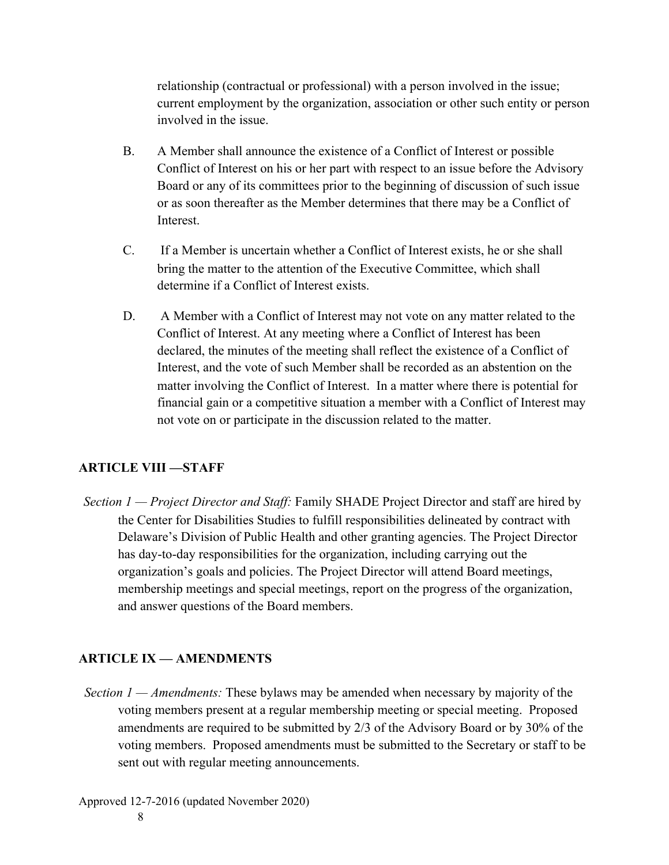relationship (contractual or professional) with a person involved in the issue; current employment by the organization, association or other such entity or person involved in the issue.

- B. A Member shall announce the existence of a Conflict of Interest or possible Conflict of Interest on his or her part with respect to an issue before the Advisory Board or any of its committees prior to the beginning of discussion of such issue or as soon thereafter as the Member determines that there may be a Conflict of **Interest.**
- C. If a Member is uncertain whether a Conflict of Interest exists, he or she shall bring the matter to the attention of the Executive Committee, which shall determine if a Conflict of Interest exists.
- D. A Member with a Conflict of Interest may not vote on any matter related to the Conflict of Interest. At any meeting where a Conflict of Interest has been declared, the minutes of the meeting shall reflect the existence of a Conflict of Interest, and the vote of such Member shall be recorded as an abstention on the matter involving the Conflict of Interest. In a matter where there is potential for financial gain or a competitive situation a member with a Conflict of Interest may not vote on or participate in the discussion related to the matter.

### **ARTICLE VIII —STAFF**

*Section 1 — Project Director and Staff:* Family SHADE Project Director and staff are hired by the Center for Disabilities Studies to fulfill responsibilities delineated by contract with Delaware's Division of Public Health and other granting agencies. The Project Director has day-to-day responsibilities for the organization, including carrying out the organization's goals and policies. The Project Director will attend Board meetings, membership meetings and special meetings, report on the progress of the organization, and answer questions of the Board members.

# **ARTICLE IX — AMENDMENTS**

*Section 1 — Amendments:* These bylaws may be amended when necessary by majority of the voting members present at a regular membership meeting or special meeting. Proposed amendments are required to be submitted by 2/3 of the Advisory Board or by 30% of the voting members. Proposed amendments must be submitted to the Secretary or staff to be sent out with regular meeting announcements.